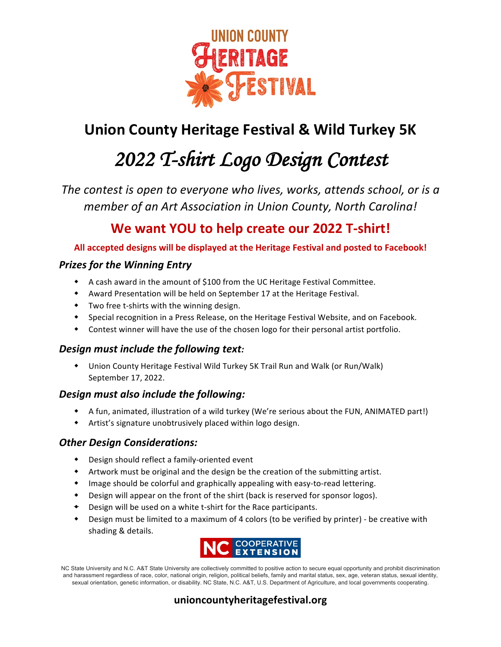

# **Union County Heritage Festival & Wild Turkey 5K**

# *2022 T-shirt Logo Design Contest*

*The contest is open to everyone who lives, works, attends school, or is a member of an Art Association in Union County, North Carolina!* 

# **We want YOU to help create our 2022 T-shirt!**

All accepted designs will be displayed at the Heritage Festival and posted to Facebook!

# **Prizes for the Winning Entry**

- A cash award in the amount of \$100 from the UC Heritage Festival Committee.
- \* Award Presentation will be held on September 17 at the Heritage Festival.
- $\bullet$  Two free t-shirts with the winning design.
- \* Special recognition in a Press Release, on the Heritage Festival Website, and on Facebook.
- $\bullet$  Contest winner will have the use of the chosen logo for their personal artist portfolio.

## **Design must include the following text:**

• Union County Heritage Festival Wild Turkey 5K Trail Run and Walk (or Run/Walk) September 17, 2022.

## **Design must also include the following:**

- \* A fun, animated, illustration of a wild turkey (We're serious about the FUN, ANIMATED part!)
- $\bullet$  Artist's signature unobtrusively placed within logo design.

## **Other Design Considerations:**

- $\bullet$  Design should reflect a family-oriented event
- \* Artwork must be original and the design be the creation of the submitting artist.
- $\bullet$  Image should be colorful and graphically appealing with easy-to-read lettering.
- Design will appear on the front of the shirt (back is reserved for sponsor logos).
- $\bullet$  Design will be used on a white t-shirt for the Race participants.
- \* Design must be limited to a maximum of 4 colors (to be verified by printer) be creative with shading & details.



NC State University and N.C. A&T State University are collectively committed to positive action to secure equal opportunity and prohibit discrimination and harassment regardless of race, color, national origin, religion, political beliefs, family and marital status, sex, age, veteran status, sexual identity, sexual orientation, genetic information, or disability. NC State, N.C. A&T, U.S. Department of Agriculture, and local governments cooperating.

# unioncountyheritagefestival.org